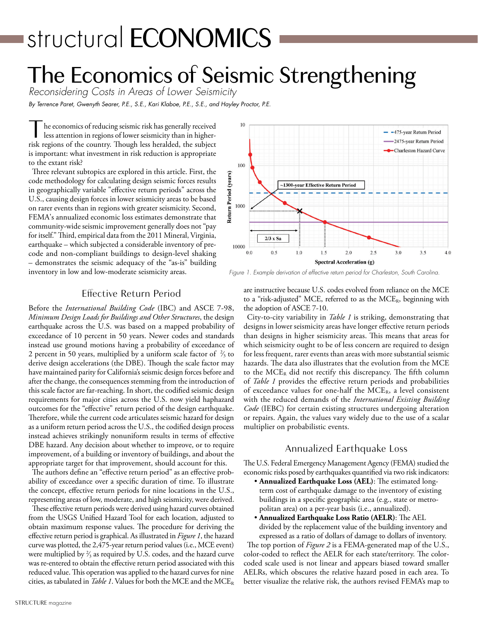# structural **ECONOMICS**

## The Economics of Seismic Strengthening

*Reconsidering Costs in Areas of Lower Seismicity By Terrence Paret, Gwenyth Searer, P.E., S.E., Kari Klaboe, P.E., S.E., and Hayley Proctor, P.E.*

he economics of reducing seismic risk has generally received less attention in regions of lower seismicity than in higherrisk regions of the country. Though less heralded, the subject is important: what investment in risk reduction is appropriate to the extant risk?

Three relevant subtopics are explored in this article. First, the code methodology for calculating design seismic forces results in geographically variable "effective return periods" across the U.S., causing design forces in lower seismicity areas to be based on rarer events than in regions with greater seismicity. Second, FEMA's annualized economic loss estimates demonstrate that community-wide seismic improvement generally does not "pay for itself." Third, empirical data from the 2011 Mineral, Virginia, earthquake – which subjected a considerable inventory of precode and non-compliant buildings to design-level shaking – demonstrates the seismic adequacy of the "as-is" building inventory in low and low-moderate seismicity areas.



*Figure 1. Example derivation of effective return period for Charleston, South Carolina.*

### Effective Return Period

Before the *International Building Code* (IBC) and ASCE 7-98, *Minimum Design Loads for Buildings and Other Structures*, the design earthquake across the U.S. was based on a mapped probability of exceedance of 10 percent in 50 years. Newer codes and standards instead use ground motions having a probability of exceedance of 2 percent in 50 years, multiplied by a uniform scale factor of  $\frac{2}{3}$  to ⁄ derive design accelerations (the DBE). Though the scale factor may have maintained parity for California's seismic design forces before and after the change, the consequences stemming from the introduction of this scale factor are far-reaching. In short, the codified seismic design requirements for major cities across the U.S. now yield haphazard outcomes for the "effective" return period of the design earthquake. Therefore, while the current code articulates seismic hazard for design as a uniform return period across the U.S., the codified design process instead achieves strikingly nonuniform results in terms of effective DBE hazard. Any decision about whether to improve, or to require improvement, of a building or inventory of buildings, and about the appropriate target for that improvement, should account for this.

The authors define an "effective return period" as an effective probability of exceedance over a specific duration of time. To illustrate the concept, effective return periods for nine locations in the U.S., representing areas of low, moderate, and high seismicity, were derived. These effective return periods were derived using hazard curves obtained

from the USGS Unified Hazard Tool for each location, adjusted to obtain maximum response values. The procedure for deriving the effective return period is graphical. As illustrated in *Figure 1*, the hazard curve was plotted, the 2,475-year return period values (i.e., MCE event) were multiplied by  $\frac{2}{3}$  as required by U.S. codes, and the hazard curve **∕** was re-entered to obtain the effective return period associated with this reduced value. This operation was applied to the hazard curves for nine cities, as tabulated in *Table 1*. Values for both the MCE and the MCE<sub>R</sub>

are instructive because U.S. codes evolved from reliance on the MCE to a "risk-adjusted" MCE, referred to as the  $MCE_R$ , beginning with the adoption of ASCE 7-10.

City-to-city variability in *Table 1* is striking, demonstrating that designs in lower seismicity areas have longer effective return periods than designs in higher seismicity areas. This means that areas for which seismicity ought to be of less concern are required to design for less frequent, rarer events than areas with more substantial seismic hazards. The data also illustrates that the evolution from the MCE to the  $MCE_R$  did not rectify this discrepancy. The fifth column of *Table 1* provides the effective return periods and probabilities of exceedance values for one-half the  $MCE_R$ , a level consistent with the reduced demands of the *International Existing Building Code* (IEBC) for certain existing structures undergoing alteration or repairs. Again, the values vary widely due to the use of a scalar multiplier on probabilistic events.

### Annualized Earthquake Loss

The U.S. Federal Emergency Management Agency (FEMA) studied the economic risks posed by earthquakes quantified via two risk indicators:

- • **Annualized Earthquake Loss (AEL)**: The estimated longterm cost of earthquake damage to the inventory of existing buildings in a specific geographic area (e.g., state or metropolitan area) on a per-year basis (i.e., annualized).
- **Annualized Earthquake Loss Ratio (AELR)**: The AEL

divided by the replacement value of the building inventory and expressed as a ratio of dollars of damage to dollars of inventory.

The top portion of *Figure 2* is a FEMA-generated map of the U.S., color-coded to reflect the AELR for each state/territory. The colorcoded scale used is not linear and appears biased toward smaller AELRs, which obscures the relative hazard posed in each area. To better visualize the relative risk, the authors revised FEMA's map to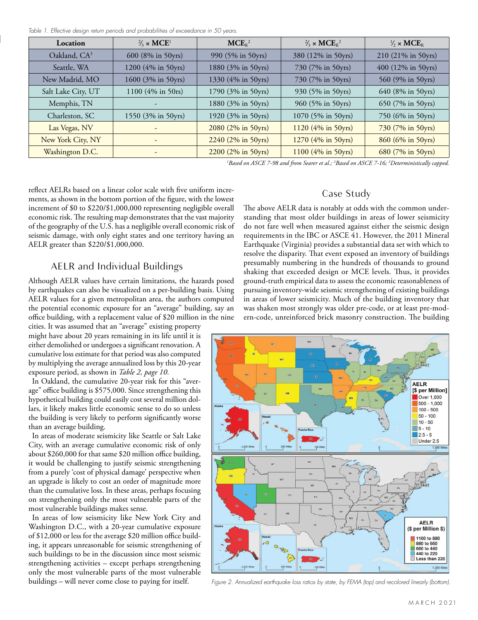*Table 1. Effective design return periods and probabilities of exceedance in 50 years.*

| Location                 | $\frac{2}{3} \times \text{MCE}^1$ | MCE <sub>R</sub> <sup>2</sup> | $\frac{2}{3} \times \text{MCE}_R^2$ | $\frac{1}{2}$ × MCE <sub>R</sub> |
|--------------------------|-----------------------------------|-------------------------------|-------------------------------------|----------------------------------|
| Oakland, CA <sup>3</sup> | 600 (8% in 50yrs)                 | 990 (5% in 50yrs)             | 380 (12% in 50yrs)                  | 210 (21% in 50yrs)               |
| Seattle, WA              | 1200 (4% in 50yrs)                | 1880 (3% in 50yrs)            | 730 (7% in 50yrs)                   | 400 (12% in 50yrs)               |
| New Madrid, MO           | 1600 (3% in 50yrs)                | 1330 (4% in 50yrs)            | 730 (7% in 50yrs)                   | 560 (9% in 50yrs)                |
| Salt Lake City, UT       | 1100 (4% in 50rs)                 | 1790 (3% in 50yrs)            | 930 (5% in 50yrs)                   | 640 (8% in 50yrs)                |
| Memphis, TN              |                                   | 1880 (3% in 50yrs)            | 960 (5% in 50yrs)                   | 650 (7% in 50yrs)                |
| Charleston, SC           | 1550 (3% in 50yrs)                | 1920 (3% in 50yrs)            | 1070 (5% in 50yrs)                  | 750 (6% in 50yrs)                |
| Las Vegas, NV            |                                   | 2080 (2% in 50yrs)            | 1120 (4% in 50yrs)                  | 730 (7% in 50yrs)                |
| New York City, NY        | $\overline{\phantom{a}}$          | 2240 (2% in 50yrs)            | 1270 (4% in 50yrs)                  | 860 (6% in 50yrs)                |
| Washington D.C.          |                                   | 2200 (2% in 50yrs)            | 1100 (4% in 50yrs)                  | 680 (7% in 50yrs)                |

*1 Based on ASCE 7-98 and from Searer et al.; 2 Based on ASCE 7-16; 3 Deterministically capped.*

reflect AELRs based on a linear color scale with five uniform increments, as shown in the bottom portion of the figure, with the lowest increment of \$0 to \$220/\$1,000,000 representing negligible overall economic risk. The resulting map demonstrates that the vast majority of the geography of the U.S. has a negligible overall economic risk of seismic damage, with only eight states and one territory having an AELR greater than \$220/\$1,000,000.

### AELR and Individual Buildings

Although AELR values have certain limitations, the hazards posed by earthquakes can also be visualized on a per-building basis. Using AELR values for a given metropolitan area, the authors computed the potential economic exposure for an "average" building, say an office building, with a replacement value of \$20 million in the nine

cities. It was assumed that an "average" existing property might have about 20 years remaining in its life until it is either demolished or undergoes a significant renovation. A cumulative loss estimate for that period was also computed by multiplying the average annualized loss by this 20-year exposure period, as shown in *Table 2, page 10*.

In Oakland, the cumulative 20-year risk for this "average" office building is \$575,000. Since strengthening this hypothetical building could easily cost several million dollars, it likely makes little economic sense to do so unless the building is very likely to perform significantly worse than an average building.

In areas of moderate seismicity like Seattle or Salt Lake City, with an average cumulative economic risk of only about \$260,000 for that same \$20 million office building, it would be challenging to justify seismic strengthening from a purely 'cost of physical damage' perspective when an upgrade is likely to cost an order of magnitude more than the cumulative loss. In these areas, perhaps focusing on strengthening only the most vulnerable parts of the most vulnerable buildings makes sense.

In areas of low seismicity like New York City and Washington D.C., with a 20-year cumulative exposure of \$12,000 or less for the average \$20 million office building, it appears unreasonable for seismic strengthening of such buildings to be in the discussion since most seismic strengthening activities – except perhaps strengthening only the most vulnerable parts of the most vulnerable buildings – will never come close to paying for itself.

### Case Study

The above AELR data is notably at odds with the common understanding that most older buildings in areas of lower seismicity do not fare well when measured against either the seismic design requirements in the IBC or ASCE 41. However, the 2011 Mineral Earthquake (Virginia) provides a substantial data set with which to resolve the disparity. That event exposed an inventory of buildings presumably numbering in the hundreds of thousands to ground shaking that exceeded design or MCE levels. Thus, it provides ground-truth empirical data to assess the economic reasonableness of pursuing inventory-wide seismic strengthening of existing buildings in areas of lower seismicity. Much of the building inventory that was shaken most strongly was older pre-code, or at least pre-modern-code, unreinforced brick masonry construction. The building



*Figure 2. Annualized earthquake loss ratios by state, by FEMA (top) and recolored linearly (bottom).*